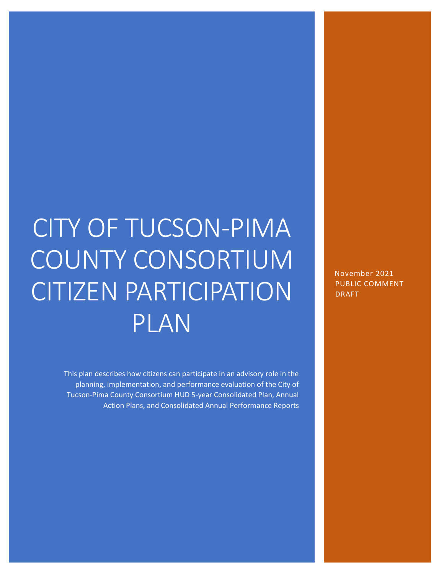# CITY OF TUCSON-PIMA COUNTY CONSORTIUM CITIZEN PARTICIPATION PLAN

This plan describes how citizens can participate in an advisory role in the planning, implementation, and performance evaluation of the City of Tucson-Pima County Consortium HUD 5-year Consolidated Plan, Annual Action Plans, and Consolidated Annual Performance Reports November 2021 PUBLIC COMMENT DRAFT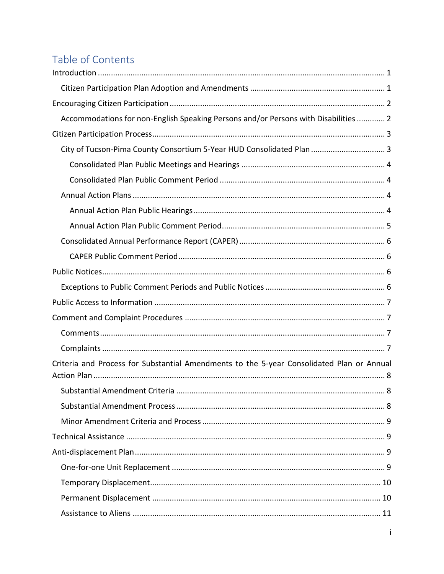# Table of Contents

| Accommodations for non-English Speaking Persons and/or Persons with Disabilities  2       |
|-------------------------------------------------------------------------------------------|
|                                                                                           |
| City of Tucson-Pima County Consortium 5-Year HUD Consolidated Plan  3                     |
|                                                                                           |
|                                                                                           |
|                                                                                           |
|                                                                                           |
|                                                                                           |
|                                                                                           |
|                                                                                           |
|                                                                                           |
|                                                                                           |
|                                                                                           |
|                                                                                           |
|                                                                                           |
|                                                                                           |
|                                                                                           |
| Criteria and Process for Substantial Amendments to the 5-year Consolidated Plan or Annual |
|                                                                                           |
|                                                                                           |
|                                                                                           |
|                                                                                           |
|                                                                                           |
|                                                                                           |
|                                                                                           |
|                                                                                           |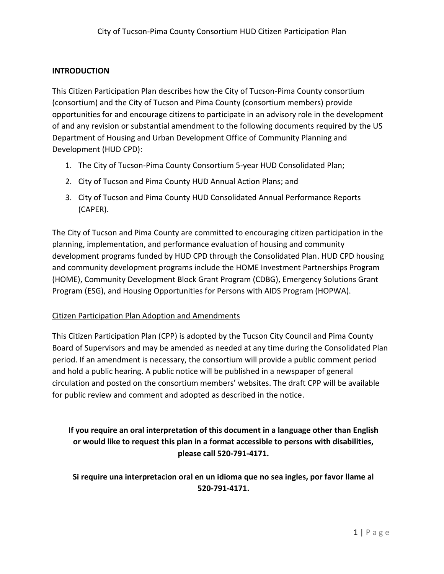#### <span id="page-3-0"></span>**INTRODUCTION**

This Citizen Participation Plan describes how the City of Tucson-Pima County consortium (consortium) and the City of Tucson and Pima County (consortium members) provide opportunities for and encourage citizens to participate in an advisory role in the development of and any revision or substantial amendment to the following documents required by the US Department of Housing and Urban Development Office of Community Planning and Development (HUD CPD):

- 1. The City of Tucson-Pima County Consortium 5-year HUD Consolidated Plan;
- 2. City of Tucson and Pima County HUD Annual Action Plans; and
- 3. City of Tucson and Pima County HUD Consolidated Annual Performance Reports (CAPER).

The City of Tucson and Pima County are committed to encouraging citizen participation in the planning, implementation, and performance evaluation of housing and community development programs funded by HUD CPD through the Consolidated Plan. HUD CPD housing and community development programs include the HOME Investment Partnerships Program (HOME), Community Development Block Grant Program (CDBG), Emergency Solutions Grant Program (ESG), and Housing Opportunities for Persons with AIDS Program (HOPWA).

#### <span id="page-3-1"></span>Citizen Participation Plan Adoption and Amendments

This Citizen Participation Plan (CPP) is adopted by the Tucson City Council and Pima County Board of Supervisors and may be amended as needed at any time during the Consolidated Plan period. If an amendment is necessary, the consortium will provide a public comment period and hold a public hearing. A public notice will be published in a newspaper of general circulation and posted on the consortium members' websites. The draft CPP will be available for public review and comment and adopted as described in the notice.

# **If you require an oral interpretation of this document in a language other than English or would like to request this plan in a format accessible to persons with disabilities, please call 520-791-4171.**

**Si require una interpretacion oral en un idioma que no sea ingles, por favor llame al 520-791-4171.**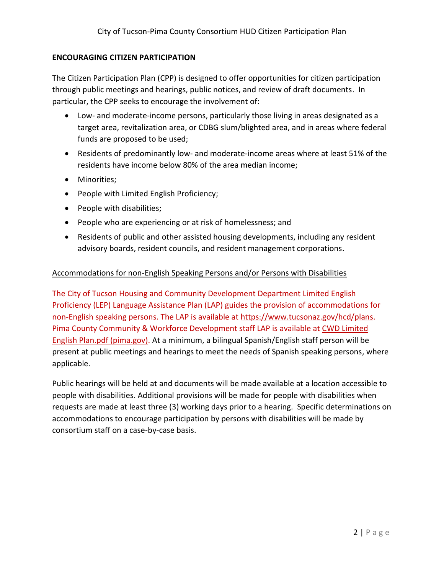#### <span id="page-4-0"></span>**ENCOURAGING CITIZEN PARTICIPATION**

The Citizen Participation Plan (CPP) is designed to offer opportunities for citizen participation through public meetings and hearings, public notices, and review of draft documents. In particular, the CPP seeks to encourage the involvement of:

- Low- and moderate-income persons, particularly those living in areas designated as a target area, revitalization area, or CDBG slum/blighted area, and in areas where federal funds are proposed to be used;
- Residents of predominantly low- and moderate-income areas where at least 51% of the residents have income below 80% of the area median income;
- Minorities;
- People with Limited English Proficiency;
- People with disabilities;
- People who are experiencing or at risk of homelessness; and
- Residents of public and other assisted housing developments, including any resident advisory boards, resident councils, and resident management corporations.

#### <span id="page-4-1"></span>Accommodations for non-English Speaking Persons and/or Persons with Disabilities

The City of Tucson Housing and Community Development Department Limited English Proficiency (LEP) Language Assistance Plan (LAP) guides the provision of accommodations for non-English speaking persons. The LAP is available at [https://www.tucsonaz.gov/hcd/plans.](https://www.tucsonaz.gov/hcd/plans) Pima County Community & Workforce Development staff LAP is available at [CWD Limited](https://webcms.pima.gov/UserFiles/Servers/Server_6/File/Community/CSET/Website/CWD%20Limited%20English%20Plan.pdf)  [English Plan.pdf \(pima.gov\).](https://webcms.pima.gov/UserFiles/Servers/Server_6/File/Community/CSET/Website/CWD%20Limited%20English%20Plan.pdf) At a minimum, a bilingual Spanish/English staff person will be present at public meetings and hearings to meet the needs of Spanish speaking persons, where applicable.

Public hearings will be held at and documents will be made available at a location accessible to people with disabilities. Additional provisions will be made for people with disabilities when requests are made at least three (3) working days prior to a hearing. Specific determinations on accommodations to encourage participation by persons with disabilities will be made by consortium staff on a case-by-case basis.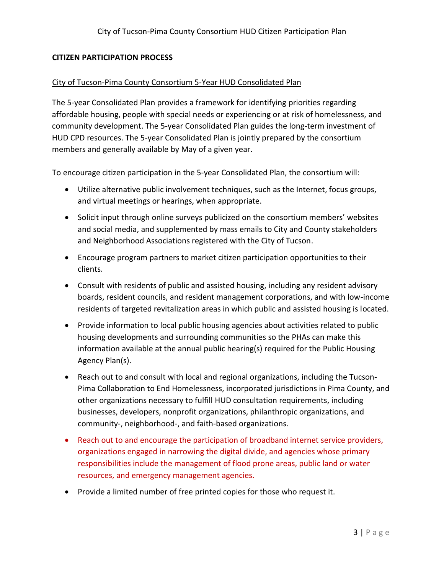#### <span id="page-5-0"></span>**CITIZEN PARTICIPATION PROCESS**

#### <span id="page-5-1"></span>City of Tucson-Pima County Consortium 5-Year HUD Consolidated Plan

The 5-year Consolidated Plan provides a framework for identifying priorities regarding affordable housing, people with special needs or experiencing or at risk of homelessness, and community development. The 5-year Consolidated Plan guides the long-term investment of HUD CPD resources. The 5-year Consolidated Plan is jointly prepared by the consortium members and generally available by May of a given year.

To encourage citizen participation in the 5-year Consolidated Plan, the consortium will:

- Utilize alternative public involvement techniques, such as the Internet, focus groups, and virtual meetings or hearings, when appropriate.
- Solicit input through online surveys publicized on the consortium members' websites and social media, and supplemented by mass emails to City and County stakeholders and Neighborhood Associations registered with the City of Tucson.
- Encourage program partners to market citizen participation opportunities to their clients.
- Consult with residents of public and assisted housing, including any resident advisory boards, resident councils, and resident management corporations, and with low-income residents of targeted revitalization areas in which public and assisted housing is located.
- Provide information to local public housing agencies about activities related to public housing developments and surrounding communities so the PHAs can make this information available at the annual public hearing(s) required for the Public Housing Agency Plan(s).
- Reach out to and consult with local and regional organizations, including the Tucson-Pima Collaboration to End Homelessness, incorporated jurisdictions in Pima County, and other organizations necessary to fulfill HUD consultation requirements, including businesses, developers, nonprofit organizations, philanthropic organizations, and community-, neighborhood-, and faith-based organizations.
- Reach out to and encourage the participation of broadband internet service providers, organizations engaged in narrowing the digital divide, and agencies whose primary responsibilities include the management of flood prone areas, public land or water resources, and emergency management agencies.
- Provide a limited number of free printed copies for those who request it.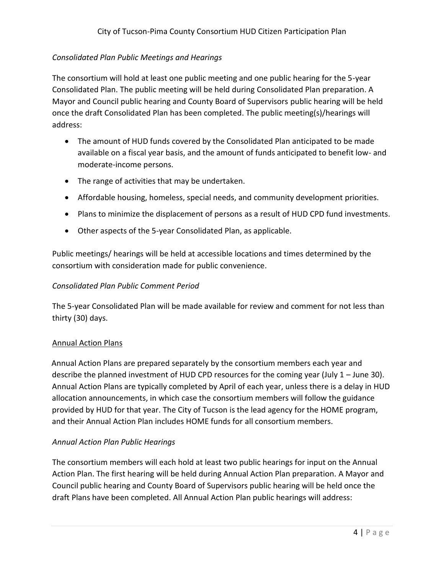# <span id="page-6-0"></span>*Consolidated Plan Public Meetings and Hearings*

The consortium will hold at least one public meeting and one public hearing for the 5-year Consolidated Plan. The public meeting will be held during Consolidated Plan preparation. A Mayor and Council public hearing and County Board of Supervisors public hearing will be held once the draft Consolidated Plan has been completed. The public meeting(s)/hearings will address:

- The amount of HUD funds covered by the Consolidated Plan anticipated to be made available on a fiscal year basis, and the amount of funds anticipated to benefit low- and moderate-income persons.
- The range of activities that may be undertaken.
- Affordable housing, homeless, special needs, and community development priorities.
- Plans to minimize the displacement of persons as a result of HUD CPD fund investments.
- Other aspects of the 5-year Consolidated Plan, as applicable.

Public meetings/ hearings will be held at accessible locations and times determined by the consortium with consideration made for public convenience.

## <span id="page-6-1"></span>*Consolidated Plan Public Comment Period*

The 5-year Consolidated Plan will be made available for review and comment for not less than thirty (30) days.

#### <span id="page-6-2"></span>Annual Action Plans

Annual Action Plans are prepared separately by the consortium members each year and describe the planned investment of HUD CPD resources for the coming year (July 1 – June 30). Annual Action Plans are typically completed by April of each year, unless there is a delay in HUD allocation announcements, in which case the consortium members will follow the guidance provided by HUD for that year. The City of Tucson is the lead agency for the HOME program, and their Annual Action Plan includes HOME funds for all consortium members.

# <span id="page-6-3"></span>*Annual Action Plan Public Hearings*

The consortium members will each hold at least two public hearings for input on the Annual Action Plan. The first hearing will be held during Annual Action Plan preparation. A Mayor and Council public hearing and County Board of Supervisors public hearing will be held once the draft Plans have been completed. All Annual Action Plan public hearings will address: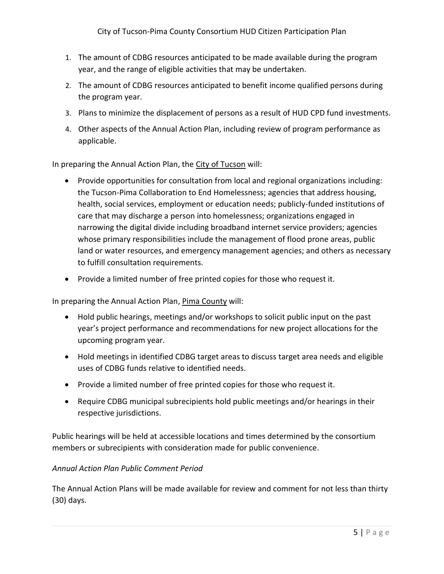- 1. The amount of CDBG resources anticipated to be made available during the program year, and the range of eligible activities that may be undertaken.
- 2. The amount of CDBG resources anticipated to benefit income qualified persons during the program year.
- 3. Plans to minimize the displacement of persons as a result of HUD CPD fund investments.
- 4. Other aspects of the Annual Action Plan, including review of program performance as applicable.

In preparing the Annual Action Plan, the City of Tucson will:

- Provide opportunities for consultation from local and regional organizations including: the Tucson-Pima Collaboration to End Homelessness; agencies that address housing, health, social services, employment or education needs; publicly-funded institutions of care that may discharge a person into homelessness; organizations engaged in narrowing the digital divide including broadband internet service providers; agencies whose primary responsibilities include the management of flood prone areas, public land or water resources, and emergency management agencies; and others as necessary to fulfill consultation requirements.
- Provide a limited number of free printed copies for those who request it.

In preparing the Annual Action Plan, Pima County will:

- Hold public hearings, meetings and/or workshops to solicit public input on the past year's project performance and recommendations for new project allocations for the upcoming program year.
- Hold meetings in identified CDBG target areas to discuss target area needs and eligible uses of CDBG funds relative to identified needs.
- Provide a limited number of free printed copies for those who request it.
- Require CDBG municipal subrecipients hold public meetings and/or hearings in their respective jurisdictions.

Public hearings will be held at accessible locations and times determined by the consortium members or subrecipients with consideration made for public convenience.

#### <span id="page-7-0"></span>*Annual Action Plan Public Comment Period*

The Annual Action Plans will be made available for review and comment for not less than thirty (30) days.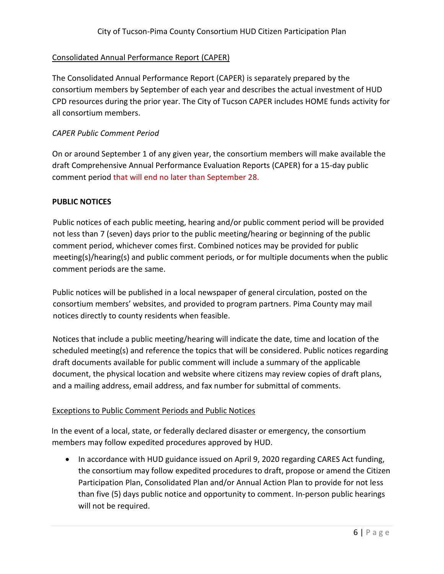# <span id="page-8-0"></span>Consolidated Annual Performance Report (CAPER)

The Consolidated Annual Performance Report (CAPER) is separately prepared by the consortium members by September of each year and describes the actual investment of HUD CPD resources during the prior year. The City of Tucson CAPER includes HOME funds activity for all consortium members.

#### <span id="page-8-1"></span>*CAPER Public Comment Period*

On or around September 1 of any given year, the consortium members will make available the draft Comprehensive Annual Performance Evaluation Reports (CAPER) for a 15-day public comment period that will end no later than September 28.

#### <span id="page-8-2"></span>**PUBLIC NOTICES**

Public notices of each public meeting, hearing and/or public comment period will be provided not less than 7 (seven) days prior to the public meeting/hearing or beginning of the public comment period, whichever comes first. Combined notices may be provided for public meeting(s)/hearing(s) and public comment periods, or for multiple documents when the public comment periods are the same.

Public notices will be published in a local newspaper of general circulation, posted on the consortium members' websites, and provided to program partners. Pima County may mail notices directly to county residents when feasible.

Notices that include a public meeting/hearing will indicate the date, time and location of the scheduled meeting(s) and reference the topics that will be considered. Public notices regarding draft documents available for public comment will include a summary of the applicable document, the physical location and website where citizens may review copies of draft plans, and a mailing address, email address, and fax number for submittal of comments.

#### <span id="page-8-3"></span>Exceptions to Public Comment Periods and Public Notices

In the event of a local, state, or federally declared disaster or emergency, the consortium members may follow expedited procedures approved by HUD.

• In accordance with HUD guidance issued on April 9, 2020 regarding CARES Act funding, the consortium may follow expedited procedures to draft, propose or amend the Citizen Participation Plan, Consolidated Plan and/or Annual Action Plan to provide for not less than five (5) days public notice and opportunity to comment. In-person public hearings will not be required.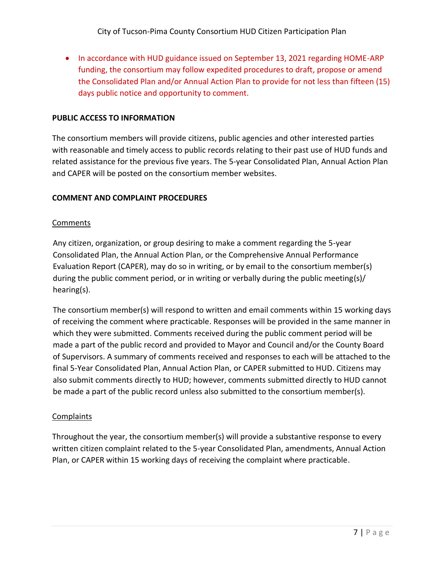• In accordance with HUD guidance issued on September 13, 2021 regarding HOME-ARP funding, the consortium may follow expedited procedures to draft, propose or amend the Consolidated Plan and/or Annual Action Plan to provide for not less than fifteen (15) days public notice and opportunity to comment.

#### <span id="page-9-0"></span>**PUBLIC ACCESS TO INFORMATION**

The consortium members will provide citizens, public agencies and other interested parties with reasonable and timely access to public records relating to their past use of HUD funds and related assistance for the previous five years. The 5-year Consolidated Plan, Annual Action Plan and CAPER will be posted on the consortium member websites.

#### <span id="page-9-1"></span>**COMMENT AND COMPLAINT PROCEDURES**

#### <span id="page-9-2"></span>**Comments**

Any citizen, organization, or group desiring to make a comment regarding the 5-year Consolidated Plan, the Annual Action Plan, or the Comprehensive Annual Performance Evaluation Report (CAPER), may do so in writing, or by email to the consortium member(s) during the public comment period, or in writing or verbally during the public meeting(s)/ hearing(s).

The consortium member(s) will respond to written and email comments within 15 working days of receiving the comment where practicable. Responses will be provided in the same manner in which they were submitted. Comments received during the public comment period will be made a part of the public record and provided to Mayor and Council and/or the County Board of Supervisors. A summary of comments received and responses to each will be attached to the final 5-Year Consolidated Plan, Annual Action Plan, or CAPER submitted to HUD. Citizens may also submit comments directly to HUD; however, comments submitted directly to HUD cannot be made a part of the public record unless also submitted to the consortium member(s).

#### <span id="page-9-3"></span>**Complaints**

Throughout the year, the consortium member(s) will provide a substantive response to every written citizen complaint related to the 5-year Consolidated Plan, amendments, Annual Action Plan, or CAPER within 15 working days of receiving the complaint where practicable.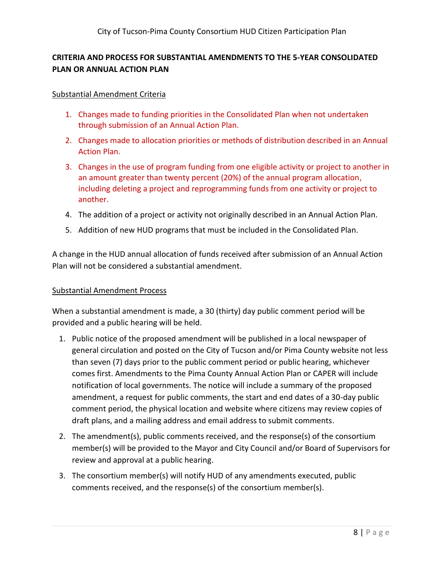# <span id="page-10-0"></span>**CRITERIA AND PROCESS FOR SUBSTANTIAL AMENDMENTS TO THE 5-YEAR CONSOLIDATED PLAN OR ANNUAL ACTION PLAN**

#### <span id="page-10-1"></span>Substantial Amendment Criteria

- 1. Changes made to funding priorities in the Consolidated Plan when not undertaken through submission of an Annual Action Plan.
- 2. Changes made to allocation priorities or methods of distribution described in an Annual Action Plan.
- 3. Changes in the use of program funding from one eligible activity or project to another in an amount greater than twenty percent (20%) of the annual program allocation, including deleting a project and reprogramming funds from one activity or project to another.
- 4. The addition of a project or activity not originally described in an Annual Action Plan.
- 5. Addition of new HUD programs that must be included in the Consolidated Plan.

A change in the HUD annual allocation of funds received after submission of an Annual Action Plan will not be considered a substantial amendment.

#### <span id="page-10-2"></span>Substantial Amendment Process

When a substantial amendment is made, a 30 (thirty) day public comment period will be provided and a public hearing will be held.

- 1. Public notice of the proposed amendment will be published in a local newspaper of general circulation and posted on the City of Tucson and/or Pima County website not less than seven (7) days prior to the public comment period or public hearing, whichever comes first. Amendments to the Pima County Annual Action Plan or CAPER will include notification of local governments. The notice will include a summary of the proposed amendment, a request for public comments, the start and end dates of a 30-day public comment period, the physical location and website where citizens may review copies of draft plans, and a mailing address and email address to submit comments.
- 2. The amendment(s), public comments received, and the response(s) of the consortium member(s) will be provided to the Mayor and City Council and/or Board of Supervisors for review and approval at a public hearing.
- 3. The consortium member(s) will notify HUD of any amendments executed, public comments received, and the response(s) of the consortium member(s).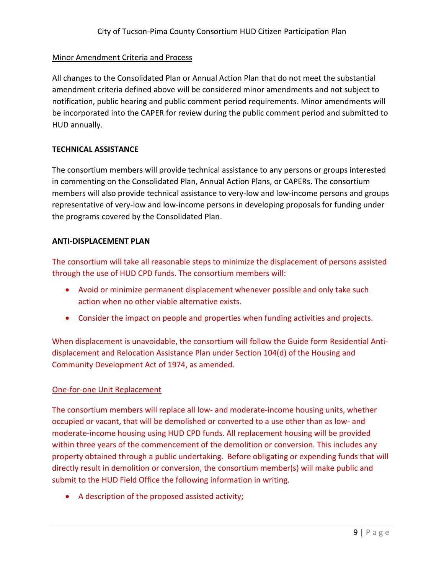#### <span id="page-11-0"></span>Minor Amendment Criteria and Process

All changes to the Consolidated Plan or Annual Action Plan that do not meet the substantial amendment criteria defined above will be considered minor amendments and not subject to notification, public hearing and public comment period requirements. Minor amendments will be incorporated into the CAPER for review during the public comment period and submitted to HUD annually.

#### <span id="page-11-1"></span>**TECHNICAL ASSISTANCE**

The consortium members will provide technical assistance to any persons or groups interested in commenting on the Consolidated Plan, Annual Action Plans, or CAPERs. The consortium members will also provide technical assistance to very-low and low-income persons and groups representative of very-low and low-income persons in developing proposals for funding under the programs covered by the Consolidated Plan.

#### <span id="page-11-2"></span>**ANTI-DISPLACEMENT PLAN**

The consortium will take all reasonable steps to minimize the displacement of persons assisted through the use of HUD CPD funds. The consortium members will:

- Avoid or minimize permanent displacement whenever possible and only take such action when no other viable alternative exists.
- Consider the impact on people and properties when funding activities and projects.

When displacement is unavoidable, the consortium will follow the Guide form Residential Antidisplacement and Relocation Assistance Plan under Section 104(d) of the Housing and Community Development Act of 1974, as amended.

#### <span id="page-11-3"></span>One-for-one Unit Replacement

The consortium members will replace all low- and moderate-income housing units, whether occupied or vacant, that will be demolished or converted to a use other than as low- and moderate-income housing using HUD CPD funds. All replacement housing will be provided within three years of the commencement of the demolition or conversion. This includes any property obtained through a public undertaking. Before obligating or expending funds that will directly result in demolition or conversion, the consortium member(s) will make public and submit to the HUD Field Office the following information in writing.

• A description of the proposed assisted activity;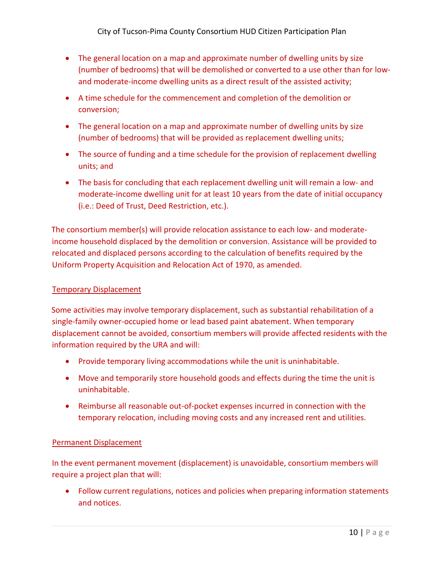- The general location on a map and approximate number of dwelling units by size (number of bedrooms) that will be demolished or converted to a use other than for lowand moderate-income dwelling units as a direct result of the assisted activity;
- A time schedule for the commencement and completion of the demolition or conversion;
- The general location on a map and approximate number of dwelling units by size (number of bedrooms) that will be provided as replacement dwelling units;
- The source of funding and a time schedule for the provision of replacement dwelling units; and
- The basis for concluding that each replacement dwelling unit will remain a low- and moderate-income dwelling unit for at least 10 years from the date of initial occupancy (i.e.: Deed of Trust, Deed Restriction, etc.).

The consortium member(s) will provide relocation assistance to each low- and moderateincome household displaced by the demolition or conversion. Assistance will be provided to relocated and displaced persons according to the calculation of benefits required by the Uniform Property Acquisition and Relocation Act of 1970, as amended.

#### <span id="page-12-0"></span>Temporary Displacement

Some activities may involve temporary displacement, such as substantial rehabilitation of a single-family owner-occupied home or lead based paint abatement. When temporary displacement cannot be avoided, consortium members will provide affected residents with the information required by the URA and will:

- Provide temporary living accommodations while the unit is uninhabitable.
- Move and temporarily store household goods and effects during the time the unit is uninhabitable.
- Reimburse all reasonable out-of-pocket expenses incurred in connection with the temporary relocation, including moving costs and any increased rent and utilities.

#### <span id="page-12-1"></span>Permanent Displacement

In the event permanent movement (displacement) is unavoidable, consortium members will require a project plan that will:

• Follow current regulations, notices and policies when preparing information statements and notices.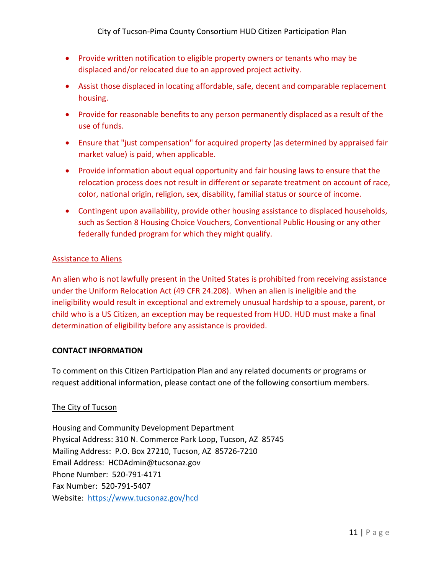- Provide written notification to eligible property owners or tenants who may be displaced and/or relocated due to an approved project activity.
- Assist those displaced in locating affordable, safe, decent and comparable replacement housing.
- Provide for reasonable benefits to any person permanently displaced as a result of the use of funds.
- Ensure that "just compensation" for acquired property (as determined by appraised fair market value) is paid, when applicable.
- Provide information about equal opportunity and fair housing laws to ensure that the relocation process does not result in different or separate treatment on account of race, color, national origin, religion, sex, disability, familial status or source of income.
- Contingent upon availability, provide other housing assistance to displaced households, such as Section 8 Housing Choice Vouchers, Conventional Public Housing or any other federally funded program for which they might qualify.

#### <span id="page-13-0"></span>Assistance to Aliens

An alien who is not lawfully present in the United States is prohibited from receiving assistance under the Uniform Relocation Act (49 CFR 24.208). When an alien is ineligible and the ineligibility would result in exceptional and extremely unusual hardship to a spouse, parent, or child who is a US Citizen, an exception may be requested from HUD. HUD must make a final determination of eligibility before any assistance is provided.

#### <span id="page-13-1"></span>**CONTACT INFORMATION**

To comment on this Citizen Participation Plan and any related documents or programs or request additional information, please contact one of the following consortium members.

#### <span id="page-13-2"></span>The City of Tucson

Housing and Community Development Department Physical Address: 310 N. Commerce Park Loop, Tucson, AZ 85745 Mailing Address: P.O. Box 27210, Tucson, AZ 85726-7210 Email Address: HCDAdmin@tucsonaz.gov Phone Number: 520-791-4171 Fax Number: 520-791-5407 Website: <https://www.tucsonaz.gov/hcd>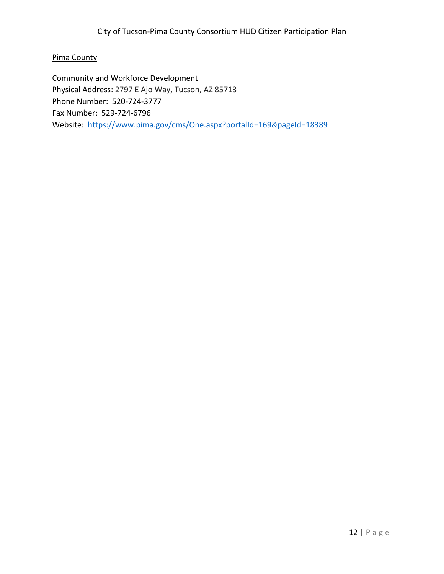## <span id="page-14-0"></span>Pima County

Community and Workforce Development Physical Address: 2797 E Ajo Way, Tucson, AZ 85713 Phone Number: 520-724-3777 Fax Number: 529-724-6796 Website: <https://www.pima.gov/cms/One.aspx?portalId=169&pageId=18389>